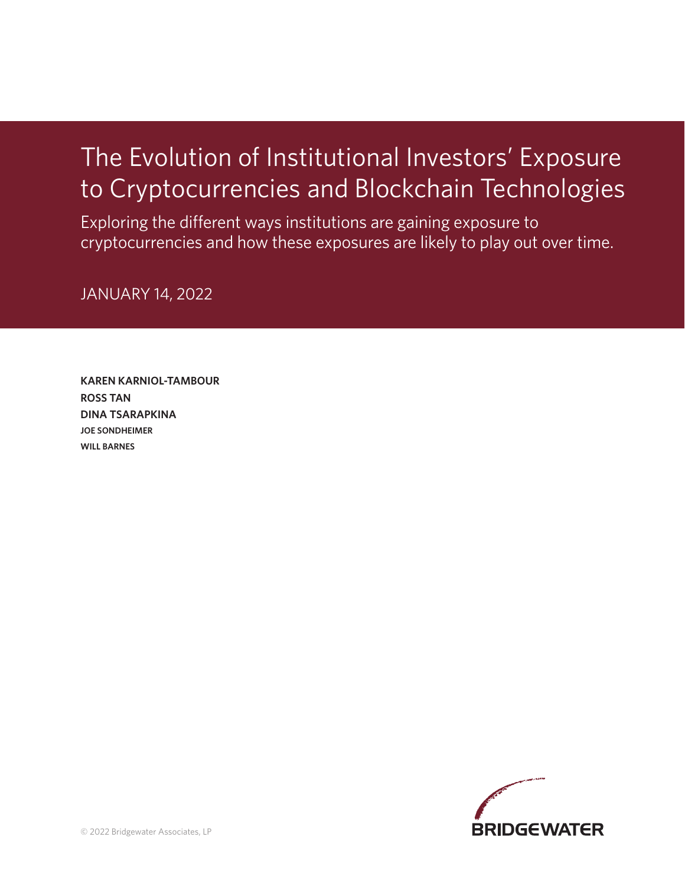# The Evolution of Institutional Investors' Exposure to Cryptocurrencies and Blockchain Technologies

Exploring the different ways institutions are gaining exposure to cryptocurrencies and how these exposures are likely to play out over time.

JANUARY 14, 2022

**KAREN KARNIOL-TAMBOUR ROSS TAN DINA TSARAPKINA JOE SONDHEIMER WILL BARNES**

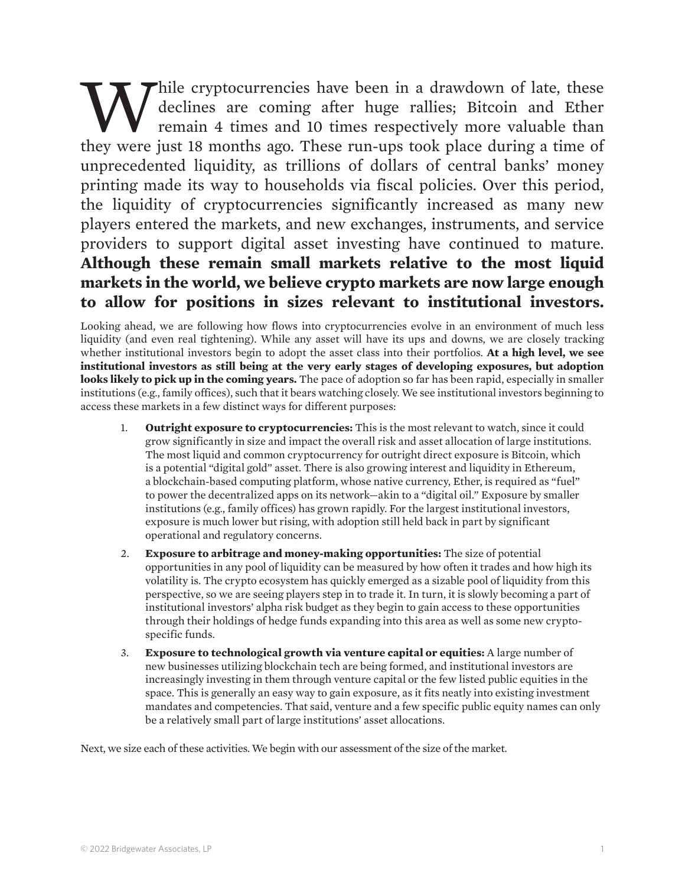While cryptocurrencies have been in a drawdown of late, these<br>declines are coming after huge rallies; Bitcoin and Ether<br>remain 4 times and 10 times respectively more valuable than<br>they were just 18 months ago. These run-up declines are coming after huge rallies; Bitcoin and Ether remain 4 times and 10 times respectively more valuable than they were just 18 months ago. These run-ups took place during a time of unprecedented liquidity, as trillions of dollars of central banks' money printing made its way to households via fiscal policies. Over this period, the liquidity of cryptocurrencies significantly increased as many new players entered the markets, and new exchanges, instruments, and service providers to support digital asset investing have continued to mature. **Although these remain small markets relative to the most liquid markets in the world, we believe crypto markets are now large enough to allow for positions in sizes relevant to institutional investors.** 

Looking ahead, we are following how flows into cryptocurrencies evolve in an environment of much less liquidity (and even real tightening). While any asset will have its ups and downs, we are closely tracking whether institutional investors begin to adopt the asset class into their portfolios. **At a high level, we see institutional investors as still being at the very early stages of developing exposures, but adoption looks likely to pick up in the coming years.** The pace of adoption so far has been rapid, especially in smaller institutions (e.g., family offices), such that it bears watching closely. We see institutional investors beginning to access these markets in a few distinct ways for different purposes:

- 1. **Outright exposure to cryptocurrencies:** This is the most relevant to watch, since it could grow significantly in size and impact the overall risk and asset allocation of large institutions. The most liquid and common cryptocurrency for outright direct exposure is Bitcoin, which is a potential "digital gold" asset. There is also growing interest and liquidity in Ethereum, a blockchain-based computing platform, whose native currency, Ether, is required as "fuel" to power the decentralized apps on its network—akin to a "digital oil." Exposure by smaller institutions (e.g., family offices) has grown rapidly. For the largest institutional investors, exposure is much lower but rising, with adoption still held back in part by significant operational and regulatory concerns.
- 2. **Exposure to arbitrage and money-making opportunities:** The size of potential opportunities in any pool of liquidity can be measured by how often it trades and how high its volatility is. The crypto ecosystem has quickly emerged as a sizable pool of liquidity from this perspective, so we are seeing players step in to trade it. In turn, it is slowly becoming a part of institutional investors' alpha risk budget as they begin to gain access to these opportunities through their holdings of hedge funds expanding into this area as well as some new cryptospecific funds.
- 3. **Exposure to technological growth via venture capital or equities:** A large number of new businesses utilizing blockchain tech are being formed, and institutional investors are increasingly investing in them through venture capital or the few listed public equities in the space. This is generally an easy way to gain exposure, as it fits neatly into existing investment mandates and competencies. That said, venture and a few specific public equity names can only be a relatively small part of large institutions' asset allocations.

Next, we size each of these activities. We begin with our assessment of the size of the market.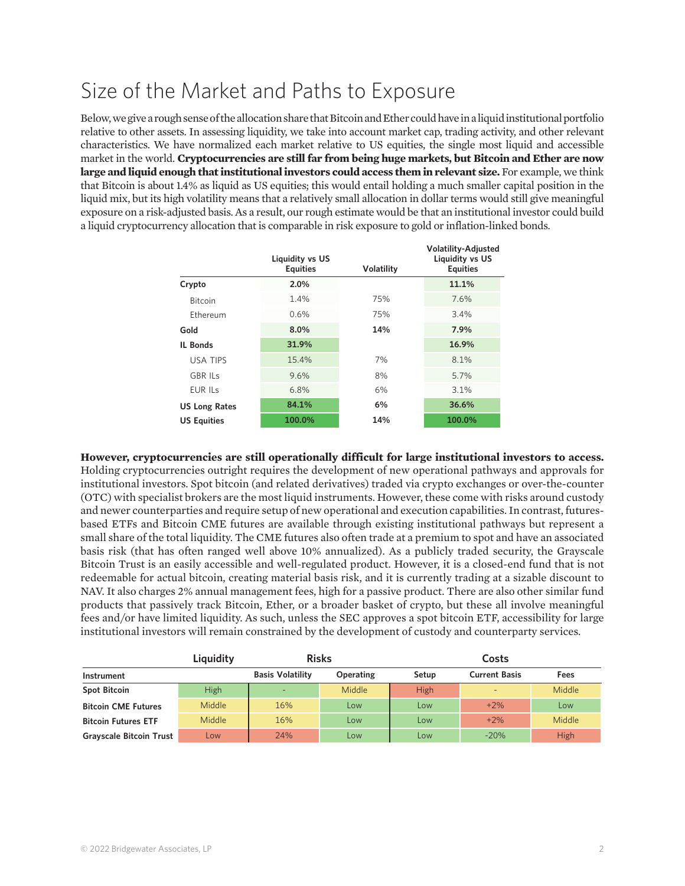## Size of the Market and Paths to Exposure

Below, we give a rough sense of the allocation share that Bitcoin and Ether could have in a liquid institutional portfolio relative to other assets. In assessing liquidity, we take into account market cap, trading activity, and other relevant characteristics. We have normalized each market relative to US equities, the single most liquid and accessible market in the world. **Cryptocurrencies are still far from being huge markets, but Bitcoin and Ether are now large and liquid enough that institutional investors could access them in relevant size.** For example, we think that Bitcoin is about 1.4% as liquid as US equities; this would entail holding a much smaller capital position in the liquid mix, but its high volatility means that a relatively small allocation in dollar terms would still give meaningful exposure on a risk-adjusted basis. As a result, our rough estimate would be that an institutional investor could build a liquid cryptocurrency allocation that is comparable in risk exposure to gold or inflation-linked bonds.

**Volatility-Adjusted** 

|                      | <b>Liquidity vs US</b><br><b>Equities</b> | <b>Volatility</b> | Volatility-Adjusted<br><b>Liquidity vs US</b><br><b>Equities</b> |  |
|----------------------|-------------------------------------------|-------------------|------------------------------------------------------------------|--|
| Crypto               | 2.0%                                      |                   | 11.1%                                                            |  |
| <b>Bitcoin</b>       | 1.4%                                      | 75%               | 7.6%                                                             |  |
| Ethereum             | 0.6%                                      | 75%               | 3.4%                                                             |  |
| Gold                 | 8.0%                                      | 14%               | 7.9%                                                             |  |
| <b>IL Bonds</b>      | 31.9%                                     |                   | 16.9%                                                            |  |
| <b>USA TIPS</b>      | 15.4%                                     | 7%                | 8.1%                                                             |  |
| <b>GBR ILS</b>       | 9.6%                                      | 8%                | 5.7%                                                             |  |
| <b>EUR ILS</b>       | 6.8%                                      | 6%                | 3.1%                                                             |  |
| <b>US Long Rates</b> | 84.1%                                     | 6%                | 36.6%                                                            |  |
| <b>US Equities</b>   | 100.0%                                    | 14%               | 100.0%                                                           |  |

**However, cryptocurrencies are still operationally difficult for large institutional investors to access.** Holding cryptocurrencies outright requires the development of new operational pathways and approvals for institutional investors. Spot bitcoin (and related derivatives) traded via crypto exchanges or over-the-counter (OTC) with specialist brokers are the most liquid instruments. However, these come with risks around custody and newer counterparties and require setup of new operational and execution capabilities. In contrast, futuresbased ETFs and Bitcoin CME futures are available through existing institutional pathways but represent a small share of the total liquidity. The CME futures also often trade at a premium to spot and have an associated basis risk (that has often ranged well above 10% annualized). As a publicly traded security, the Grayscale Bitcoin Trust is an easily accessible and well-regulated product. However, it is a closed-end fund that is not redeemable for actual bitcoin, creating material basis risk, and it is currently trading at a sizable discount to NAV. It also charges 2% annual management fees, high for a passive product. There are also other similar fund products that passively track Bitcoin, Ether, or a broader basket of crypto, but these all involve meaningful fees and/or have limited liquidity. As such, unless the SEC approves a spot bitcoin ETF, accessibility for large institutional investors will remain constrained by the development of custody and counterparty services.

|                                | Liquidity     | <b>Risks</b>            |            | Costs       |                          |               |
|--------------------------------|---------------|-------------------------|------------|-------------|--------------------------|---------------|
| <b>Instrument</b>              |               | <b>Basis Volatility</b> | Operating  | Setup       | <b>Current Basis</b>     | Fees          |
| <b>Spot Bitcoin</b>            | <b>High</b>   |                         | Middle     | <b>High</b> | $\overline{\phantom{0}}$ | <b>Middle</b> |
| <b>Bitcoin CME Futures</b>     | Middle        | 16%                     | <b>Low</b> | Low         | $+2\%$                   | Low           |
| <b>Bitcoin Futures ETF</b>     | <b>Middle</b> | 16%                     | Low        | Low         | $+2\%$                   | Middle        |
| <b>Grayscale Bitcoin Trust</b> | Low           | 24%                     | Low        | Low         | $-20%$                   | High          |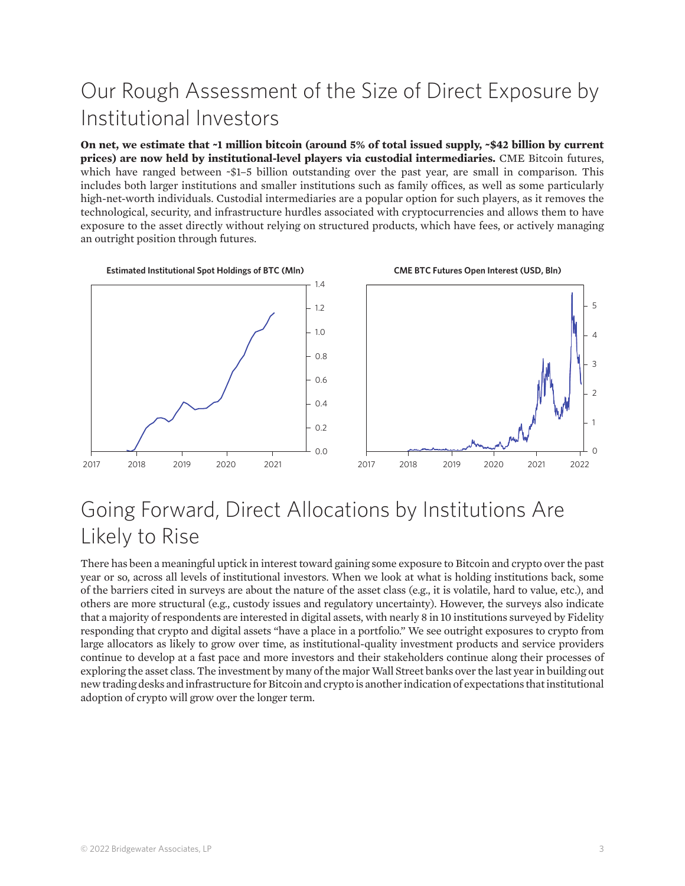# Our Rough Assessment of the Size of Direct Exposure by Institutional Investors

**On net, we estimate that ~1 million bitcoin (around 5% of total issued supply, ~\$42 billion by current prices) are now held by institutional-level players via custodial intermediaries.** CME Bitcoin futures, which have ranged between ~\$1–5 billion outstanding over the past year, are small in comparison. This includes both larger institutions and smaller institutions such as family offices, as well as some particularly high-net-worth individuals. Custodial intermediaries are a popular option for such players, as it removes the technological, security, and infrastructure hurdles associated with cryptocurrencies and allows them to have exposure to the asset directly without relying on structured products, which have fees, or actively managing an outright position through futures.



### Going Forward, Direct Allocations by Institutions Are Likely to Rise

There has been a meaningful uptick in interest toward gaining some exposure to Bitcoin and crypto over the past year or so, across all levels of institutional investors. When we look at what is holding institutions back, some of the barriers cited in surveys are about the nature of the asset class (e.g., it is volatile, hard to value, etc.), and others are more structural (e.g., custody issues and regulatory uncertainty). However, the surveys also indicate that a majority of respondents are interested in digital assets, with nearly 8 in 10 institutions surveyed by Fidelity responding that crypto and digital assets "have a place in a portfolio." We see outright exposures to crypto from large allocators as likely to grow over time, as institutional-quality investment products and service providers continue to develop at a fast pace and more investors and their stakeholders continue along their processes of exploring the asset class. The investment by many of the major Wall Street banks over the last year in building out new trading desks and infrastructure for Bitcoin and crypto is another indication of expectations that institutional adoption of crypto will grow over the longer term.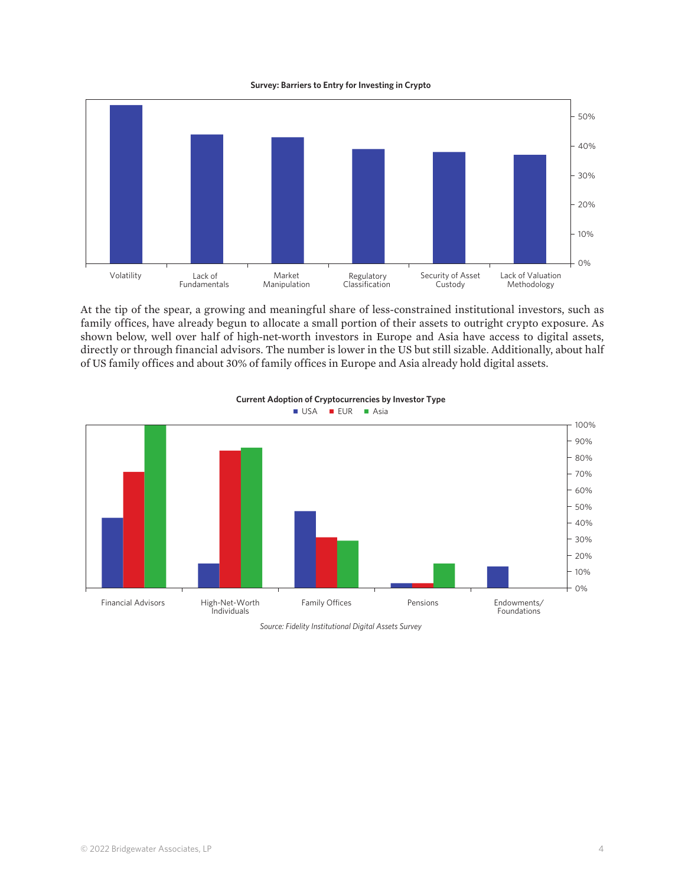



*Source: Fidelity Institutional Digital Assets Survey*  At the tip of the spear, a growing and meaningful share of less-constrained institutional investors, such as family offices, have already begun to allocate a small portion of their assets to outright crypto exposure. As shown below, well over half of high-net-worth investors in Europe and Asia have access to digital assets, directly or through financial advisors. The number is lower in the US but still sizable. Additionally, about half of US family offices and about 30% of family offices in Europe and Asia already hold digital assets.



#### **USA EUR** Asia **Current Adoption of Cryptocurrencies by Investor Type**

*Source: Fidelity Institutional Digital Assets Survey*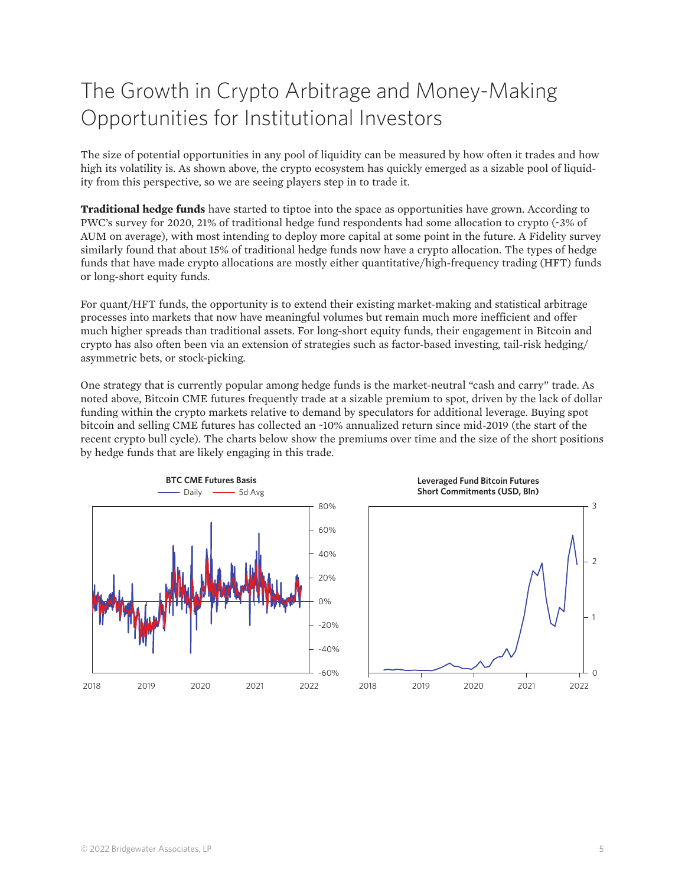## The Growth in Crypto Arbitrage and Money-Making Opportunities for Institutional Investors

The size of potential opportunities in any pool of liquidity can be measured by how often it trades and how high its volatility is. As shown above, the crypto ecosystem has quickly emerged as a sizable pool of liquidity from this perspective, so we are seeing players step in to trade it.

**Traditional hedge funds** have started to tiptoe into the space as opportunities have grown. According to PWC's survey for 2020, 21% of traditional hedge fund respondents had some allocation to crypto (~3% of AUM on average), with most intending to deploy more capital at some point in the future. A Fidelity survey similarly found that about 15% of traditional hedge funds now have a crypto allocation. The types of hedge funds that have made crypto allocations are mostly either quantitative/high-frequency trading (HFT) funds or long-short equity funds.

For quant/HFT funds, the opportunity is to extend their existing market-making and statistical arbitrage processes into markets that now have meaningful volumes but remain much more inefficient and offer much higher spreads than traditional assets. For long-short equity funds, their engagement in Bitcoin and crypto has also often been via an extension of strategies such as factor-based investing, tail-risk hedging/ asymmetric bets, or stock-picking.

One strategy that is currently popular among hedge funds is the market-neutral "cash and carry" trade. As noted above, Bitcoin CME futures frequently trade at a sizable premium to spot, driven by the lack of dollar funding within the crypto markets relative to demand by speculators for additional leverage. Buying spot bitcoin and selling CME futures has collected an ~10% annualized return since mid-2019 (the start of the recent crypto bull cycle). The charts below show the premiums over time and the size of the short positions by hedge funds that are likely engaging in this trade.

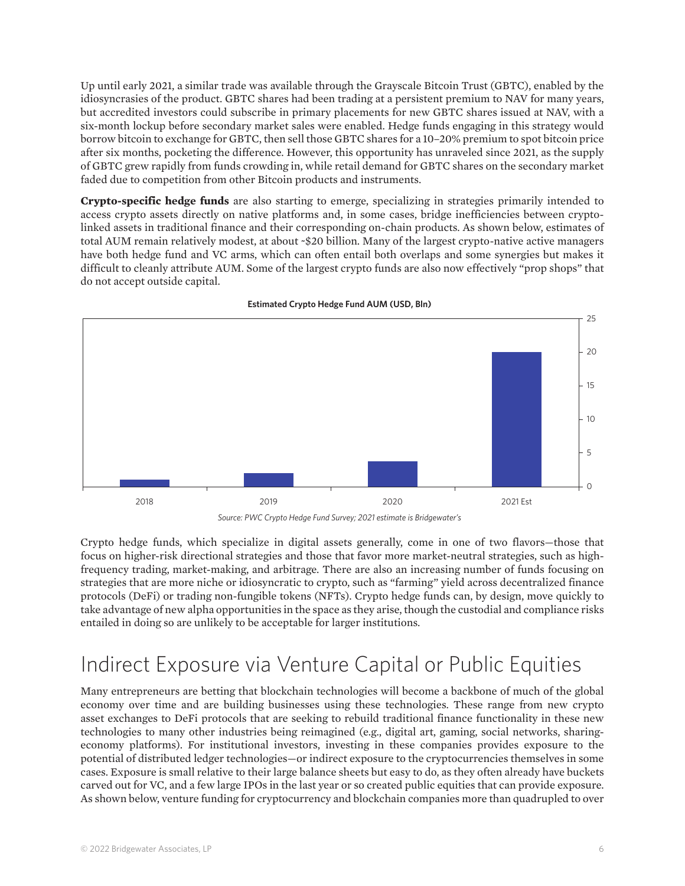Up until early 2021, a similar trade was available through the Grayscale Bitcoin Trust (GBTC), enabled by the idiosyncrasies of the product. GBTC shares had been trading at a persistent premium to NAV for many years, but accredited investors could subscribe in primary placements for new GBTC shares issued at NAV, with a six-month lockup before secondary market sales were enabled. Hedge funds engaging in this strategy would borrow bitcoin to exchange for GBTC, then sell those GBTC shares for a 10–20% premium to spot bitcoin price after six months, pocketing the difference. However, this opportunity has unraveled since 2021, as the supply of GBTC grew rapidly from funds crowding in, while retail demand for GBTC shares on the secondary market faded due to competition from other Bitcoin products and instruments.

**Crypto-specific hedge funds** are also starting to emerge, specializing in strategies primarily intended to access crypto assets directly on native platforms and, in some cases, bridge inefficiencies between cryptolinked assets in traditional finance and their corresponding on-chain products. As shown below, estimates of total AUM remain relatively modest, at about ~\$20 billion. Many of the largest crypto-native active managers have both hedge fund and VC arms, which can often entail both overlaps and some synergies but makes it difficult to cleanly attribute AUM. Some of the largest crypto funds are also now effectively "prop shops" that do not accept outside capital.



**Estimated Crypto Hedge Fund AUM (USD, Bln)**

Crypto hedge funds, which specialize in digital assets generally, come in one of two flavors—those that focus on higher-risk directional strategies and those that favor more market-neutral strategies, such as highfrequency trading, market-making, and arbitrage. There are also an increasing number of funds focusing on strategies that are more niche or idiosyncratic to crypto, such as "farming" yield across decentralized finance protocols (DeFi) or trading non-fungible tokens (NFTs). Crypto hedge funds can, by design, move quickly to take advantage of new alpha opportunities in the space as they arise, though the custodial and compliance risks entailed in doing so are unlikely to be acceptable for larger institutions.

### Indirect Exposure via Venture Capital or Public Equities

Many entrepreneurs are betting that blockchain technologies will become a backbone of much of the global economy over time and are building businesses using these technologies. These range from new crypto asset exchanges to DeFi protocols that are seeking to rebuild traditional finance functionality in these new technologies to many other industries being reimagined (e.g., digital art, gaming, social networks, sharingeconomy platforms). For institutional investors, investing in these companies provides exposure to the potential of distributed ledger technologies—or indirect exposure to the cryptocurrencies themselves in some cases. Exposure is small relative to their large balance sheets but easy to do, as they often already have buckets carved out for VC, and a few large IPOs in the last year or so created public equities that can provide exposure. As shown below, venture funding for cryptocurrency and blockchain companies more than quadrupled to over

*Source: PWC Crypto Hedge Fund Survey; 2021 estimate is Bridgewater's*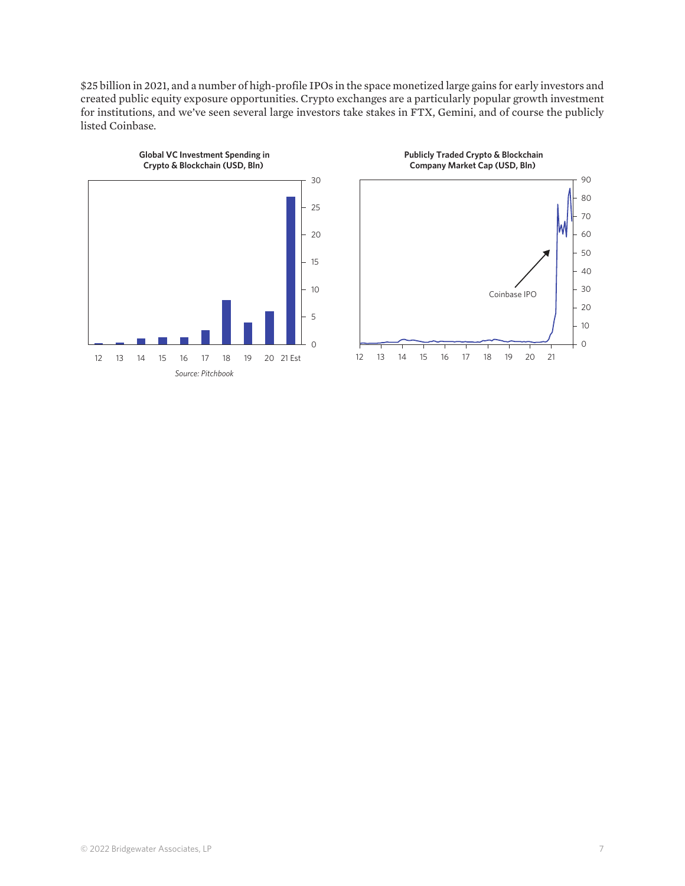\$25 billion in 2021, and a number of high-profile IPOs in the space monetized large gains for early investors and created public equity exposure opportunities. Crypto exchanges are a particularly popular growth investment for institutions, and we've seen several large investors take stakes in FTX, Gemini, and of course the publicly listed Coinbase.